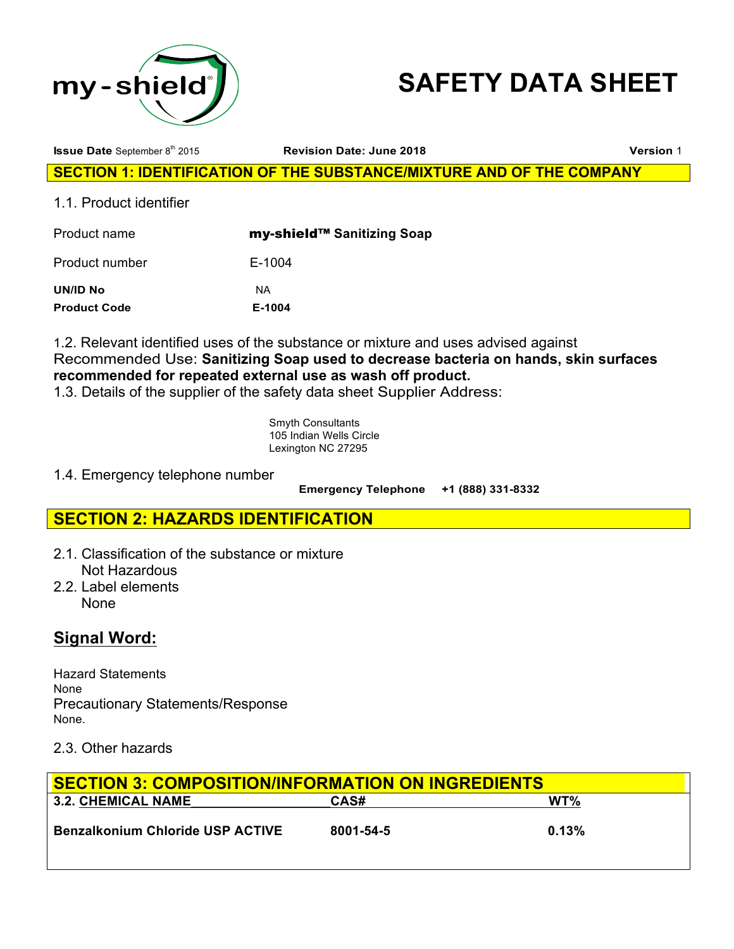



**Issue Date** September 8th 2015 **Revision Date: June 2018 Version** 1

**SECTION 1: IDENTIFICATION OF THE SUBSTANCE/MIXTURE AND OF THE COMPANY** 

1.1. Product identifier

| Product name                    | my-shield™ Sanitizing Soap |
|---------------------------------|----------------------------|
| Product number                  | E-1004                     |
| UN/ID No<br><b>Product Code</b> | ΝA<br>E-1004               |
|                                 |                            |

1.2. Relevant identified uses of the substance or mixture and uses advised against Recommended Use: **Sanitizing Soap used to decrease bacteria on hands, skin surfaces recommended for repeated external use as wash off product.**

1.3. Details of the supplier of the safety data sheet Supplier Address:

Smyth Consultants 105 Indian Wells Circle Lexington NC 27295

1.4. Emergency telephone number

 **Emergency Telephone +1 (888) 331-8332**

# **SECTION 2: HAZARDS IDENTIFICATION**

- 2.1. Classification of the substance or mixture Not Hazardous
- 2.2. Label elements None

# **Signal Word:**

Hazard Statements None Precautionary Statements/Response None.

# 2.3. Other hazards

| <b>SECTION 3: COMPOSITION/INFORMATION ON INGREDIENTS</b> |           |       |  |
|----------------------------------------------------------|-----------|-------|--|
| <b>3.2. CHEMICAL NAME</b>                                | CAS#      | WT%   |  |
| <b>Benzalkonium Chloride USP ACTIVE</b>                  | 8001-54-5 | 0.13% |  |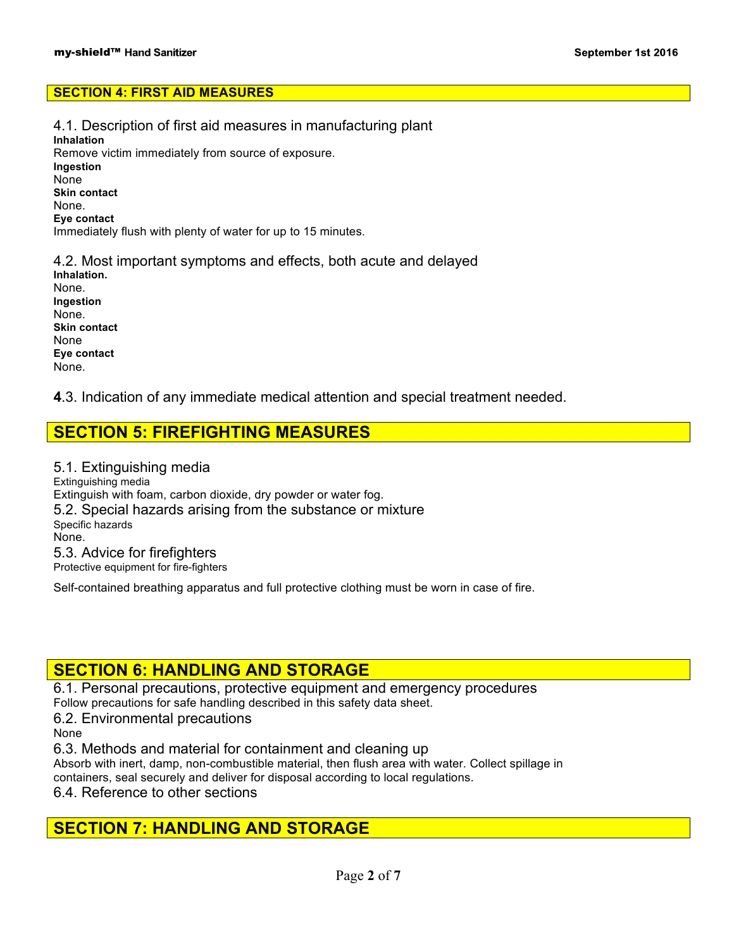### **SECTION 4: FIRST AID MEASURES**

4.1. Description of first aid measures in manufacturing plant **Inhalation** Remove victim immediately from source of exposure. **Ingestion** None **Skin contact** None. **Eye contact** Immediately flush with plenty of water for up to 15 minutes.

4.2. Most important symptoms and effects, both acute and delayed **Inhalation.** None. **Ingestion** None. **Skin contact** None **Eye contact** None.

**4**.3. Indication of any immediate medical attention and special treatment needed.

# **SECTION 5: FIREFIGHTING MEASURES**

5.1. Extinguishing media Extinguishing media Extinguish with foam, carbon dioxide, dry powder or water fog. 5.2. Special hazards arising from the substance or mixture Specific hazards None. 5.3. Advice for firefighters Protective equipment for fire-fighters

Self-contained breathing apparatus and full protective clothing must be worn in case of fire.

# **SECTION 6: HANDLING AND STORAGE**

6.1. Personal precautions, protective equipment and emergency procedures Follow precautions for safe handling described in this safety data sheet.

6.2. Environmental precautions

None

6.3. Methods and material for containment and cleaning up

Absorb with inert, damp, non-combustible material, then flush area with water. Collect spillage in containers, seal securely and deliver for disposal according to local regulations.

6.4. Reference to other sections

# **SECTION 7: HANDLING AND STORAGE**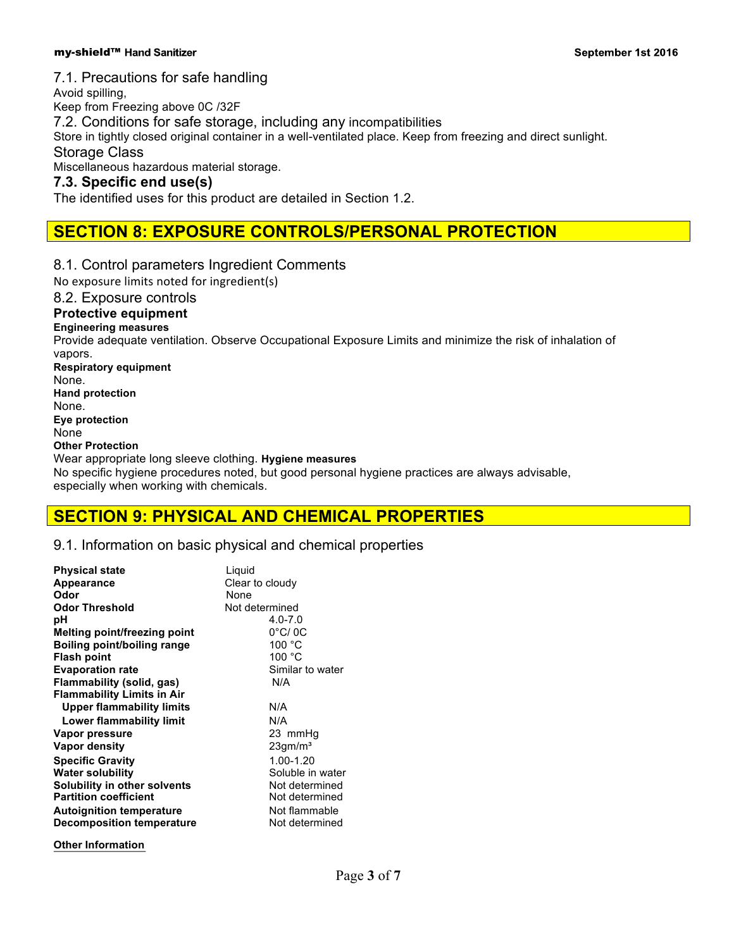### my-shield™ Hand Sanitizer

## 7.1. Precautions for safe handling

Avoid spilling, Keep from Freezing above 0C /32F 7.2. Conditions for safe storage, including any incompatibilities Store in tightly closed original container in a well-ventilated place. Keep from freezing and direct sunlight. Storage Class Miscellaneous hazardous material storage. **7.3. Specific end use(s)** The identified uses for this product are detailed in Section 1.2. **SECTION 8: EXPOSURE CONTROLS/PERSONAL PROTECTION** 8.1. Control parameters Ingredient Comments No exposure limits noted for ingredient(s) 8.2. Exposure controls **Protective equipment Engineering measures** Provide adequate ventilation. Observe Occupational Exposure Limits and minimize the risk of inhalation of vapors. **Respiratory equipment** None. **Hand protection** None. **Eye protection**

None

**Other Protection**

Wear appropriate long sleeve clothing. **Hygiene measures** No specific hygiene procedures noted, but good personal hygiene practices are always advisable, especially when working with chemicals.

# **SECTION 9: PHYSICAL AND CHEMICAL PROPERTIES**

## 9.1. Information on basic physical and chemical properties

| <b>Physical state</b><br>Appearance<br>Odor<br><b>Odor Threshold</b><br>рH<br>Melting point/freezing point<br><b>Boiling point/boiling range</b><br><b>Flash point</b><br><b>Evaporation rate</b><br>Flammability (solid, gas)<br><b>Flammability Limits in Air</b><br><b>Upper flammability limits</b><br>Lower flammability limit<br>Vapor pressure | Liquid<br>Clear to cloudy<br>None<br>Not determined<br>$4.0 - 7.0$<br>$0^{\circ}$ C/0C<br>100 °C<br>100 °C<br>Similar to water<br>N/A<br>N/A<br>N/A<br>23 mmHq |
|-------------------------------------------------------------------------------------------------------------------------------------------------------------------------------------------------------------------------------------------------------------------------------------------------------------------------------------------------------|----------------------------------------------------------------------------------------------------------------------------------------------------------------|
| Vapor density                                                                                                                                                                                                                                                                                                                                         | $23$ gm/m <sup>3</sup>                                                                                                                                         |
| <b>Specific Gravity</b><br><b>Water solubility</b><br><b>Solubility in other solvents</b><br><b>Partition coefficient</b><br><b>Autoignition temperature</b><br><b>Decomposition temperature</b>                                                                                                                                                      | 1.00-1.20<br>Soluble in water<br>Not determined<br>Not determined<br>Not flammable<br>Not determined                                                           |

**Other Information**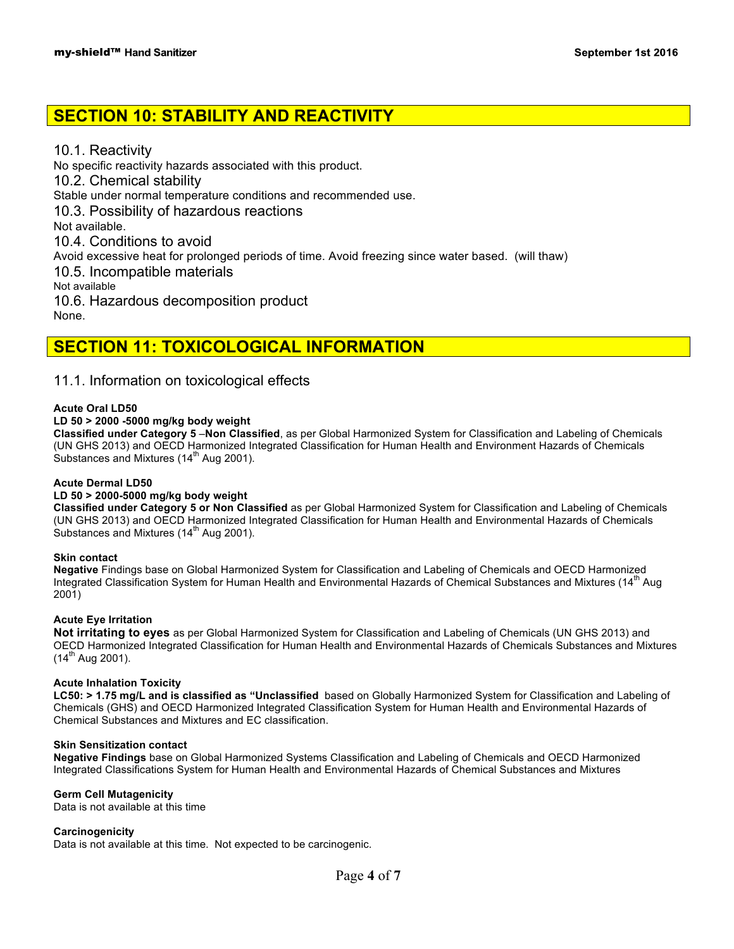# **SECTION 10: STABILITY AND REACTIVITY**

10.1. Reactivity No specific reactivity hazards associated with this product. 10.2. Chemical stability Stable under normal temperature conditions and recommended use. 10.3. Possibility of hazardous reactions Not available. 10.4. Conditions to avoid Avoid excessive heat for prolonged periods of time. Avoid freezing since water based. (will thaw) 10.5. Incompatible materials Not available 10.6. Hazardous decomposition product None.

# **SECTION 11: TOXICOLOGICAL INFORMATION**

## 11.1. Information on toxicological effects

#### **Acute Oral LD50**

### **LD 50 > 2000 -5000 mg/kg body weight**

**Classified under Category 5** –**Non Classified**, as per Global Harmonized System for Classification and Labeling of Chemicals (UN GHS 2013) and OECD Harmonized Integrated Classification for Human Health and Environment Hazards of Chemicals Substances and Mixtures (14<sup>th</sup> Aug 2001).

#### **Acute Dermal LD50**

#### **LD 50 > 2000-5000 mg/kg body weight**

**Classified under Category 5 or Non Classified** as per Global Harmonized System for Classification and Labeling of Chemicals (UN GHS 2013) and OECD Harmonized Integrated Classification for Human Health and Environmental Hazards of Chemicals Substances and Mixtures (14<sup>th</sup> Aug 2001).

#### **Skin contact**

**Negative** Findings base on Global Harmonized System for Classification and Labeling of Chemicals and OECD Harmonized Integrated Classification System for Human Health and Environmental Hazards of Chemical Substances and Mixtures (14<sup>th</sup> Aug 2001)

#### **Acute Eye Irritation**

**Not irritating to eyes** as per Global Harmonized System for Classification and Labeling of Chemicals (UN GHS 2013) and OECD Harmonized Integrated Classification for Human Health and Environmental Hazards of Chemicals Substances and Mixtures  $(14^{th}$  Aug 2001).

#### **Acute Inhalation Toxicity**

**LC50: > 1.75 mg/L and is classified as "Unclassified** based on Globally Harmonized System for Classification and Labeling of Chemicals (GHS) and OECD Harmonized Integrated Classification System for Human Health and Environmental Hazards of Chemical Substances and Mixtures and EC classification.

### **Skin Sensitization contact**

**Negative Findings** base on Global Harmonized Systems Classification and Labeling of Chemicals and OECD Harmonized Integrated Classifications System for Human Health and Environmental Hazards of Chemical Substances and Mixtures

#### **Germ Cell Mutagenicity**

Data is not available at this time

#### **Carcinogenicity**

Data is not available at this time. Not expected to be carcinogenic.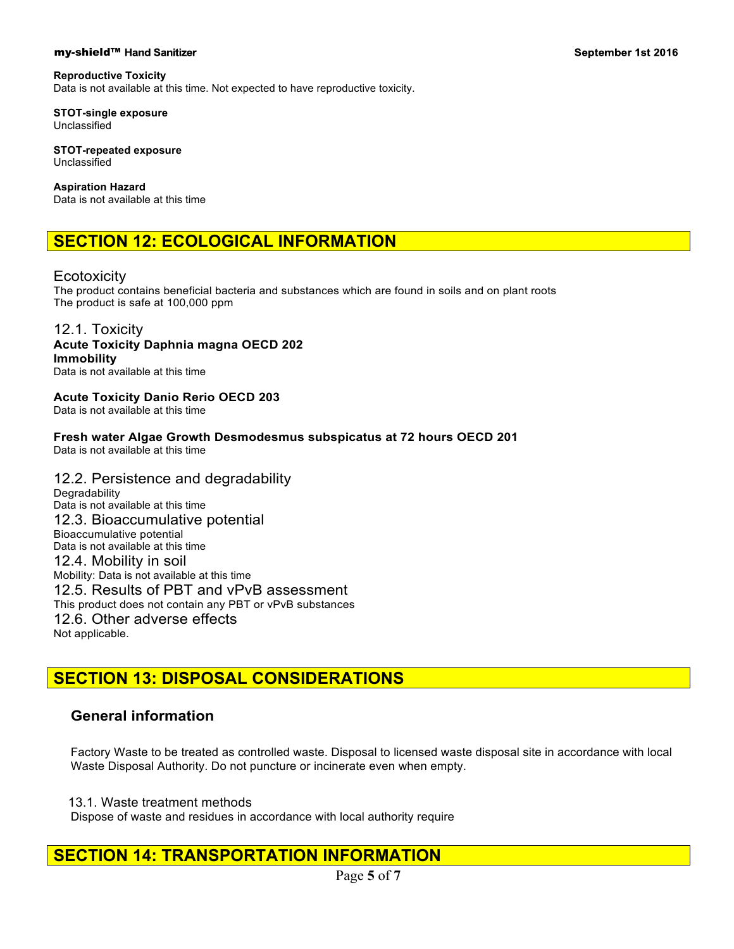### my-shield™ Hand Sanitizer

### **Reproductive Toxicity**

Data is not available at this time. Not expected to have reproductive toxicity.

**STOT-single exposure** Unclassified

**STOT-repeated exposure** Unclassified

**Aspiration Hazard**

Data is not available at this time

# **SECTION 12: ECOLOGICAL INFORMATION**

Ecotoxicity

The product contains beneficial bacteria and substances which are found in soils and on plant roots The product is safe at 100,000 ppm

### 12.1. Toxicity **Acute Toxicity Daphnia magna OECD 202**

**Immobility**  Data is not available at this time

# **Acute Toxicity Danio Rerio OECD 203**

Data is not available at this time

**Fresh water Algae Growth Desmodesmus subspicatus at 72 hours OECD 201** Data is not available at this time

### 12.2. Persistence and degradability **Degradability** Data is not available at this time 12.3. Bioaccumulative potential Bioaccumulative potential Data is not available at this time 12.4. Mobility in soil Mobility: Data is not available at this time 12.5. Results of PBT and vPvB assessment This product does not contain any PBT or vPvB substances 12.6. Other adverse effects Not applicable.

# **SECTION 13: DISPOSAL CONSIDERATIONS**

## **General information**

Factory Waste to be treated as controlled waste. Disposal to licensed waste disposal site in accordance with local Waste Disposal Authority. Do not puncture or incinerate even when empty.

13.1. Waste treatment methods

Dispose of waste and residues in accordance with local authority require

# **SECTION 14: TRANSPORTATION INFORMATION**

Page **5** of **7**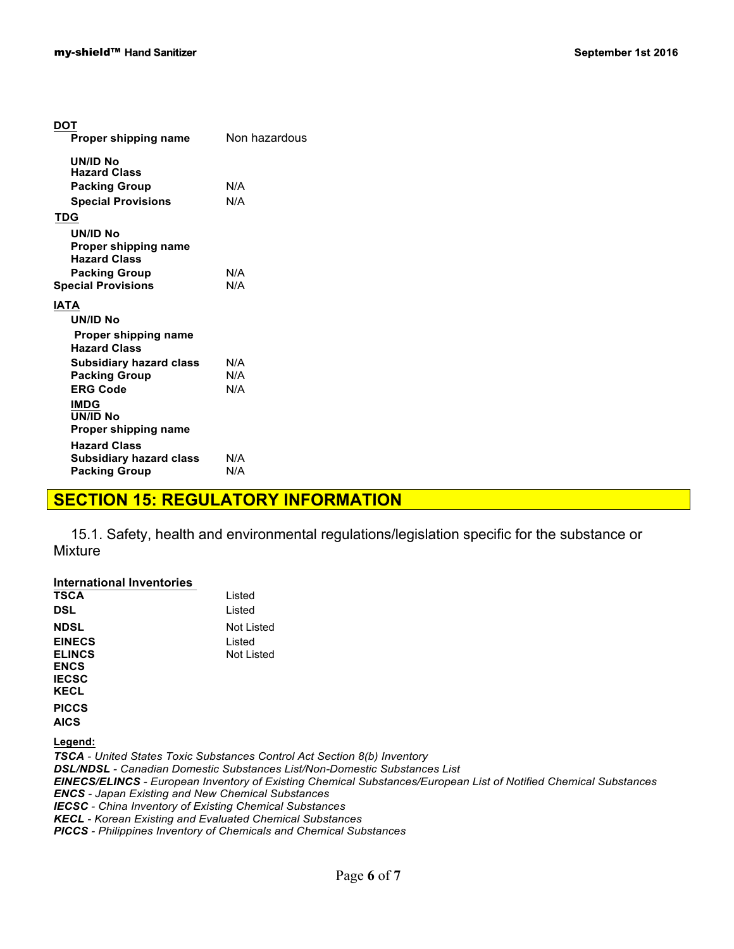| DOT                                         |               |
|---------------------------------------------|---------------|
| Proper shipping name                        | Non hazardous |
| UN/ID No<br><b>Hazard Class</b>             |               |
| <b>Packing Group</b>                        | N/A           |
| <b>Special Provisions</b>                   | N/A           |
| TDG                                         |               |
| UN/ID No                                    |               |
| Proper shipping name<br><b>Hazard Class</b> |               |
| <b>Packing Group</b>                        | N/A           |
| <b>Special Provisions</b>                   | N/A           |
| <b>IATA</b>                                 |               |
| UN/ID No                                    |               |
| Proper shipping name<br><b>Hazard Class</b> |               |
| Subsidiary hazard class                     | N/A           |
| <b>Packing Group</b>                        | N/A           |
| <b>ERG Code</b>                             | N/A           |
| <b>IMDG</b>                                 |               |
| UN/ID No                                    |               |
| Proper shipping name                        |               |
| <b>Hazard Class</b>                         |               |
| <b>Subsidiary hazard class</b>              | N/A           |
| <b>Packing Group</b>                        | N/A           |

# **SECTION 15: REGULATORY INFORMATION**

15.1. Safety, health and environmental regulations/legislation specific for the substance or Mixture

| International Inventories                                       |                                                                                                                         |
|-----------------------------------------------------------------|-------------------------------------------------------------------------------------------------------------------------|
| <b>TSCA</b>                                                     | Listed                                                                                                                  |
| <b>DSL</b>                                                      | Listed                                                                                                                  |
| <b>NDSL</b>                                                     | <b>Not Listed</b>                                                                                                       |
| <b>EINECS</b>                                                   | Listed                                                                                                                  |
| <b>ELINCS</b>                                                   | Not Listed                                                                                                              |
| <b>ENCS</b>                                                     |                                                                                                                         |
| <b>IECSC</b>                                                    |                                                                                                                         |
| <b>KECL</b>                                                     |                                                                                                                         |
| <b>PICCS</b>                                                    |                                                                                                                         |
| <b>AICS</b>                                                     |                                                                                                                         |
| Legend:                                                         |                                                                                                                         |
|                                                                 | <b>TSCA</b> - United States Toxic Substances Control Act Section 8(b) Inventory                                         |
|                                                                 | <b>DSL/NDSL</b> - Canadian Domestic Substances List/Non-Domestic Substances List                                        |
|                                                                 | <b>EINECS/ELINCS</b> - European Inventory of Existing Chemical Substances/European List of Notified Chemical Substances |
| <b>ENCS</b> - Japan Existing and New Chemical Substances        |                                                                                                                         |
| <b>IECSC</b> - China Inventory of Existing Chemical Substances  |                                                                                                                         |
| <b>KECL</b> - Korean Existing and Evaluated Chemical Substances |                                                                                                                         |

*PICCS - Philippines Inventory of Chemicals and Chemical Substances*